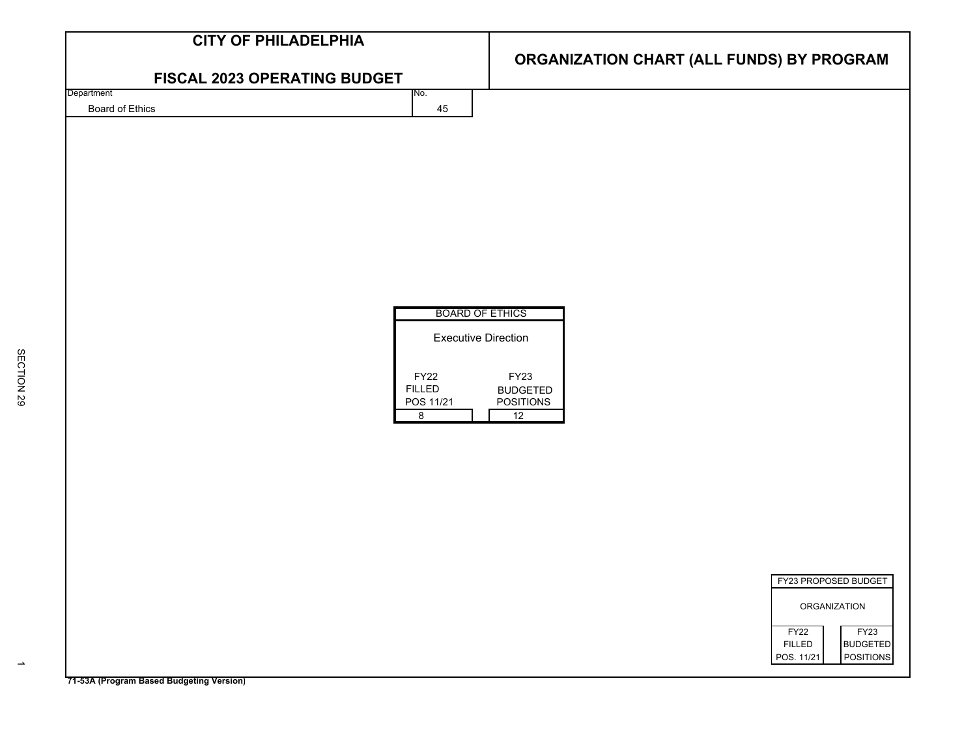| <b>CITY OF PHILADELPHIA</b>              |                                      |                                           |
|------------------------------------------|--------------------------------------|-------------------------------------------|
| FISCAL 2023 OPERATING BUDGET             |                                      | ORGANIZATION CHART (ALL FUNDS) BY PROGRAM |
| Department                               | No.                                  |                                           |
| Board of Ethics                          | 45                                   |                                           |
|                                          |                                      |                                           |
|                                          |                                      |                                           |
|                                          |                                      |                                           |
|                                          |                                      |                                           |
|                                          |                                      |                                           |
|                                          |                                      |                                           |
|                                          |                                      |                                           |
|                                          |                                      |                                           |
|                                          | <b>BOARD OF ETHICS</b>               |                                           |
|                                          |                                      |                                           |
|                                          | <b>Executive Direction</b>           |                                           |
|                                          | <b>FY22</b>                          | <b>FY23</b>                               |
|                                          | <b>FILLED</b>                        | <b>BUDGETED</b><br>POSITIONS              |
|                                          | POS 11/21<br>$\overline{\mathbf{8}}$ | 12                                        |
|                                          |                                      |                                           |
|                                          |                                      |                                           |
|                                          |                                      |                                           |
|                                          |                                      |                                           |
|                                          |                                      |                                           |
|                                          |                                      |                                           |
|                                          |                                      |                                           |
|                                          |                                      | FY23 PROPOSED BUDGET                      |
|                                          |                                      | <b>ORGANIZATION</b>                       |
|                                          |                                      | FY23<br>FY22                              |
|                                          |                                      | <b>FILLED</b><br><b>BUDGETED</b>          |
|                                          |                                      | <b>POSITIONS</b><br>POS. 11/21            |
| 71-53A (Program Based Budgeting Version) |                                      |                                           |

 $\rightarrow$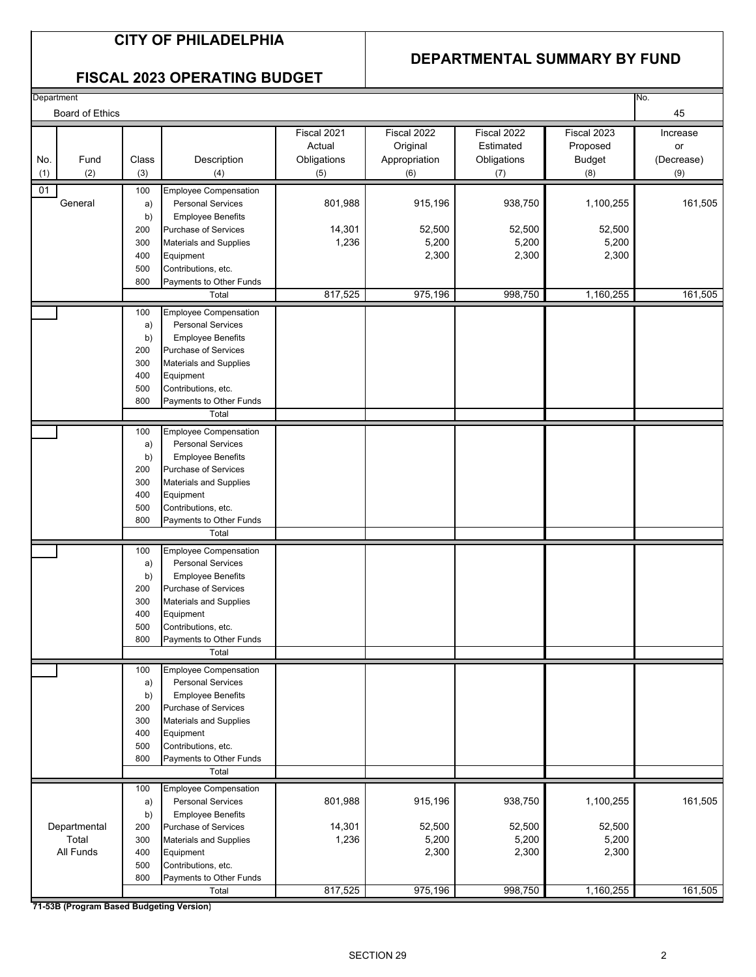#### **CITY OF PHILADELPHIA**

#### **DEPARTMENTAL SUMMARY BY FUND**

#### **FISCAL 2023 OPERATING BUDGET**

| Department |                 |            |                                                         |             |               |             |               | No.        |
|------------|-----------------|------------|---------------------------------------------------------|-------------|---------------|-------------|---------------|------------|
|            | Board of Ethics |            |                                                         |             |               |             |               | 45         |
|            |                 |            |                                                         | Fiscal 2021 | Fiscal 2022   | Fiscal 2022 | Fiscal 2023   | Increase   |
|            |                 |            |                                                         | Actual      | Original      | Estimated   | Proposed      | or         |
| No.        | Fund            | Class      | Description                                             | Obligations | Appropriation | Obligations | <b>Budget</b> | (Decrease) |
|            | (2)             | (3)        |                                                         | (5)         | (6)           |             | (8)           | (9)        |
| (1)        |                 |            | (4)                                                     |             |               | (7)         |               |            |
| 01         |                 | 100        | <b>Employee Compensation</b>                            |             |               |             |               |            |
|            | General         | a)         | <b>Personal Services</b>                                | 801,988     | 915,196       | 938,750     | 1,100,255     | 161,505    |
|            |                 | b)         | <b>Employee Benefits</b>                                |             |               |             |               |            |
|            |                 | 200        | Purchase of Services                                    | 14,301      | 52,500        | 52,500      | 52,500        |            |
|            |                 | 300        | <b>Materials and Supplies</b>                           | 1,236       | 5,200         | 5,200       | 5,200         |            |
|            |                 | 400        | Equipment                                               |             | 2,300         | 2,300       | 2,300         |            |
|            |                 | 500<br>800 | Contributions, etc.<br>Payments to Other Funds          |             |               |             |               |            |
|            |                 |            | Total                                                   | 817,525     | 975,196       | 998,750     | 1,160,255     | 161,505    |
|            |                 |            |                                                         |             |               |             |               |            |
|            |                 | 100        | <b>Employee Compensation</b>                            |             |               |             |               |            |
|            |                 | a)         | <b>Personal Services</b>                                |             |               |             |               |            |
|            |                 | b)         | <b>Employee Benefits</b>                                |             |               |             |               |            |
|            |                 | 200<br>300 | Purchase of Services<br><b>Materials and Supplies</b>   |             |               |             |               |            |
|            |                 | 400        | Equipment                                               |             |               |             |               |            |
|            |                 | 500        | Contributions, etc.                                     |             |               |             |               |            |
|            |                 | 800        | Payments to Other Funds                                 |             |               |             |               |            |
|            |                 |            | Total                                                   |             |               |             |               |            |
|            |                 | 100        | <b>Employee Compensation</b>                            |             |               |             |               |            |
|            |                 | a)         | <b>Personal Services</b>                                |             |               |             |               |            |
|            |                 | b)         | <b>Employee Benefits</b>                                |             |               |             |               |            |
|            |                 | 200        | Purchase of Services                                    |             |               |             |               |            |
|            |                 | 300        | <b>Materials and Supplies</b>                           |             |               |             |               |            |
|            |                 | 400        | Equipment                                               |             |               |             |               |            |
|            |                 | 500        | Contributions, etc.                                     |             |               |             |               |            |
|            |                 | 800        | Payments to Other Funds                                 |             |               |             |               |            |
|            |                 |            | Total                                                   |             |               |             |               |            |
|            |                 | 100        | <b>Employee Compensation</b>                            |             |               |             |               |            |
|            |                 | a)         | <b>Personal Services</b>                                |             |               |             |               |            |
|            |                 | b)         | <b>Employee Benefits</b>                                |             |               |             |               |            |
|            |                 | 200        | Purchase of Services                                    |             |               |             |               |            |
|            |                 | 300        | <b>Materials and Supplies</b>                           |             |               |             |               |            |
|            |                 | 400        | Equipment                                               |             |               |             |               |            |
|            |                 | 500        | Contributions, etc.                                     |             |               |             |               |            |
|            |                 | 800        | Payments to Other Funds<br>Total                        |             |               |             |               |            |
|            |                 |            |                                                         |             |               |             |               |            |
|            |                 | 100        | <b>Employee Compensation</b>                            |             |               |             |               |            |
|            |                 | a)         | <b>Personal Services</b>                                |             |               |             |               |            |
|            |                 | b)<br>200  | <b>Employee Benefits</b><br><b>Purchase of Services</b> |             |               |             |               |            |
|            |                 | 300        | Materials and Supplies                                  |             |               |             |               |            |
|            |                 | 400        | Equipment                                               |             |               |             |               |            |
|            |                 | 500        | Contributions, etc.                                     |             |               |             |               |            |
|            |                 | 800        | Payments to Other Funds                                 |             |               |             |               |            |
|            |                 |            | Total                                                   |             |               |             |               |            |
|            |                 | 100        | <b>Employee Compensation</b>                            |             |               |             |               |            |
|            |                 | a)         | <b>Personal Services</b>                                | 801,988     | 915,196       | 938,750     | 1,100,255     | 161,505    |
|            |                 | b)         | <b>Employee Benefits</b>                                |             |               |             |               |            |
|            | Departmental    | 200        | Purchase of Services                                    | 14,301      | 52,500        | 52,500      | 52,500        |            |
|            | Total           | 300        | <b>Materials and Supplies</b>                           | 1,236       | 5,200         | 5,200       | 5,200         |            |
|            | All Funds       | 400        | Equipment                                               |             | 2,300         | 2,300       | 2,300         |            |
|            |                 | 500        | Contributions, etc.                                     |             |               |             |               |            |
|            |                 | 800        | Payments to Other Funds                                 |             |               |             |               |            |
|            |                 |            | Total                                                   | 817,525     | 975,196       | 998,750     | 1,160,255     | 161,505    |

**71-53B (Program Based Budgeting Version)**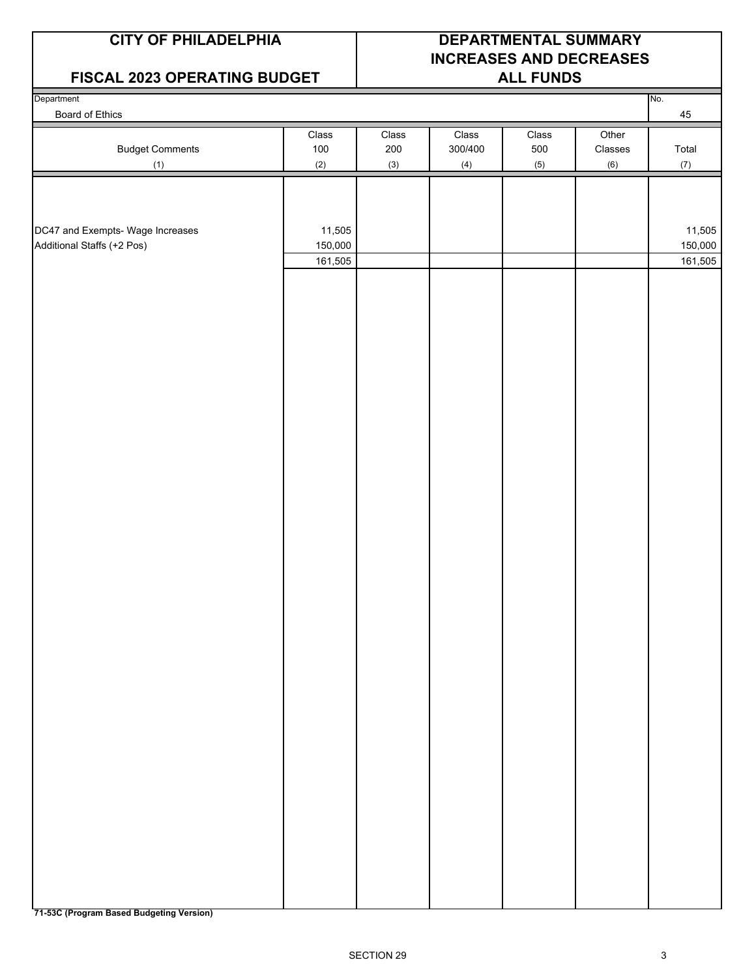#### **FISCAL 2023 OPERATING BUDGET ALL FUNDS**

## **CITY OF PHILADELPHIA DEPARTMENTAL SUMMARY INCREASES AND DECREASES**

| Department<br>Board of Ethics                                  |                   |            |                |            |                           | No.<br>$\bf 45$   |
|----------------------------------------------------------------|-------------------|------------|----------------|------------|---------------------------|-------------------|
|                                                                | Class             | Class      | Class          | Class      | Other                     |                   |
| <b>Budget Comments</b>                                         | 100<br>(2)        | 200<br>(3) | 300/400<br>(4) | 500<br>(5) | $\mathsf{Classes}$<br>(6) | Total<br>(7)      |
| (1)                                                            |                   |            |                |            |                           |                   |
|                                                                |                   |            |                |            |                           |                   |
|                                                                |                   |            |                |            |                           |                   |
| DC47 and Exempts- Wage Increases<br>Additional Staffs (+2 Pos) | 11,505<br>150,000 |            |                |            |                           | 11,505<br>150,000 |
|                                                                | 161,505           |            |                |            |                           | 161,505           |
|                                                                |                   |            |                |            |                           |                   |
|                                                                |                   |            |                |            |                           |                   |
|                                                                |                   |            |                |            |                           |                   |
|                                                                |                   |            |                |            |                           |                   |
|                                                                |                   |            |                |            |                           |                   |
|                                                                |                   |            |                |            |                           |                   |
|                                                                |                   |            |                |            |                           |                   |
|                                                                |                   |            |                |            |                           |                   |
|                                                                |                   |            |                |            |                           |                   |
|                                                                |                   |            |                |            |                           |                   |
|                                                                |                   |            |                |            |                           |                   |
|                                                                |                   |            |                |            |                           |                   |
|                                                                |                   |            |                |            |                           |                   |
|                                                                |                   |            |                |            |                           |                   |
|                                                                |                   |            |                |            |                           |                   |
|                                                                |                   |            |                |            |                           |                   |
|                                                                |                   |            |                |            |                           |                   |
|                                                                |                   |            |                |            |                           |                   |
|                                                                |                   |            |                |            |                           |                   |
|                                                                |                   |            |                |            |                           |                   |
|                                                                |                   |            |                |            |                           |                   |
|                                                                |                   |            |                |            |                           |                   |
|                                                                |                   |            |                |            |                           |                   |
|                                                                |                   |            |                |            |                           |                   |
|                                                                |                   |            |                |            |                           |                   |
|                                                                |                   |            |                |            |                           |                   |
|                                                                |                   |            |                |            |                           |                   |
|                                                                |                   |            |                |            |                           |                   |
|                                                                |                   |            |                |            |                           |                   |
|                                                                |                   |            |                |            |                           |                   |
|                                                                |                   |            |                |            |                           |                   |
|                                                                |                   |            |                |            |                           |                   |
|                                                                |                   |            |                |            |                           |                   |
|                                                                |                   |            |                |            |                           |                   |
|                                                                |                   |            |                |            |                           |                   |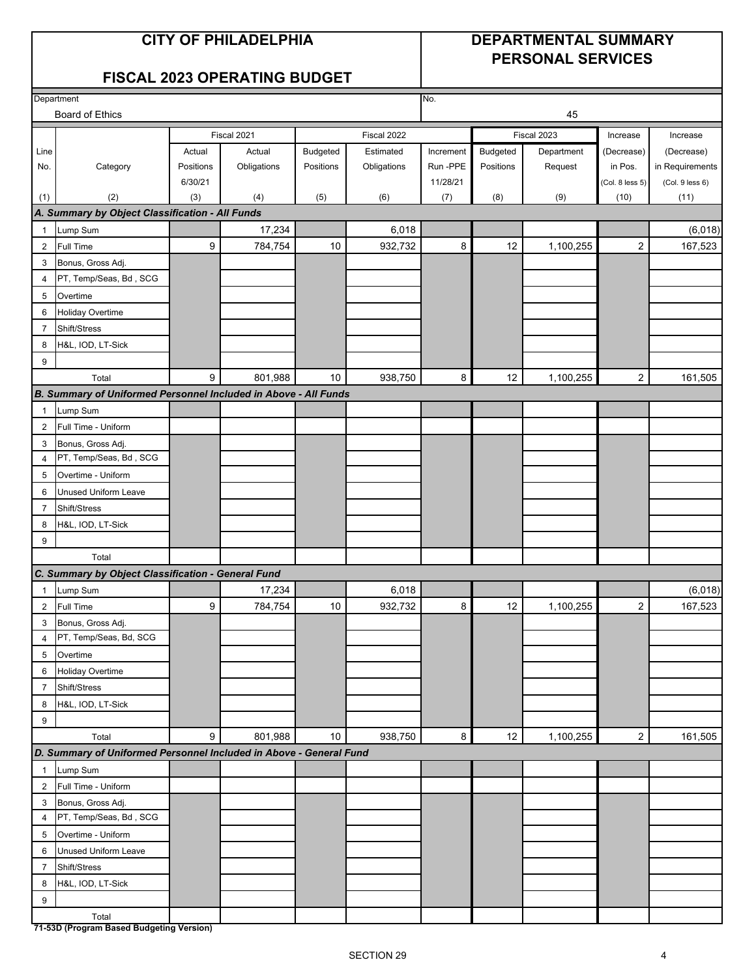#### **CITY OF PHILADELPHIA DEPARTMENTAL SUMMARY PERSONAL SERVICES**

#### **FISCAL 2023 OPERATING BUDGET**

| Department     |                                                                    |           |             |           |             | No.       |                 |             |                 |                 |
|----------------|--------------------------------------------------------------------|-----------|-------------|-----------|-------------|-----------|-----------------|-------------|-----------------|-----------------|
|                | <b>Board of Ethics</b>                                             |           |             |           |             |           |                 | 45          |                 |                 |
|                |                                                                    |           | Fiscal 2021 |           | Fiscal 2022 |           |                 | Fiscal 2023 | Increase        | Increase        |
| Line           |                                                                    | Actual    | Actual      | Budgeted  | Estimated   | Increment | <b>Budgeted</b> | Department  | (Decrease)      | (Decrease)      |
| No.            | Category                                                           | Positions | Obligations | Positions | Obligations | Run-PPE   | Positions       | Request     | in Pos.         | in Requirements |
|                |                                                                    | 6/30/21   |             |           |             | 11/28/21  |                 |             | (Col. 8 less 5) | (Col. 9 less 6) |
| (1)            | (2)                                                                | (3)       | (4)         | (5)       | (6)         | (7)       | (8)             | (9)         | (10)            | (11)            |
|                | A. Summary by Object Classification - All Funds                    |           |             |           |             |           |                 |             |                 |                 |
| $\mathbf{1}$   | Lump Sum                                                           |           | 17,234      |           | 6,018       |           |                 |             |                 | (6,018)         |
| $\overline{2}$ | Full Time                                                          | 9         | 784,754     | $10$      | 932,732     | 8         | 12              | 1,100,255   | $\overline{2}$  | 167,523         |
| 3              | Bonus, Gross Adj.                                                  |           |             |           |             |           |                 |             |                 |                 |
| $\overline{4}$ | PT, Temp/Seas, Bd, SCG                                             |           |             |           |             |           |                 |             |                 |                 |
| 5              | Overtime                                                           |           |             |           |             |           |                 |             |                 |                 |
| 6              | Holiday Overtime                                                   |           |             |           |             |           |                 |             |                 |                 |
| $\overline{7}$ | Shift/Stress                                                       |           |             |           |             |           |                 |             |                 |                 |
| 8              | H&L, IOD, LT-Sick                                                  |           |             |           |             |           |                 |             |                 |                 |
| 9              |                                                                    |           |             |           |             |           |                 |             |                 |                 |
|                | Total                                                              | 9         | 801,988     | 10        | 938,750     | 8         | 12              | 1,100,255   | $\overline{2}$  | 161,505         |
|                | B. Summary of Uniformed Personnel Included in Above - All Funds    |           |             |           |             |           |                 |             |                 |                 |
| $\mathbf{1}$   | Lump Sum                                                           |           |             |           |             |           |                 |             |                 |                 |
| 2              | Full Time - Uniform                                                |           |             |           |             |           |                 |             |                 |                 |
| 3              | Bonus, Gross Adj.                                                  |           |             |           |             |           |                 |             |                 |                 |
| 4              | PT, Temp/Seas, Bd, SCG                                             |           |             |           |             |           |                 |             |                 |                 |
| 5              | Overtime - Uniform                                                 |           |             |           |             |           |                 |             |                 |                 |
| 6              | Unused Uniform Leave                                               |           |             |           |             |           |                 |             |                 |                 |
| $\overline{7}$ | Shift/Stress                                                       |           |             |           |             |           |                 |             |                 |                 |
| 8              | H&L, IOD, LT-Sick                                                  |           |             |           |             |           |                 |             |                 |                 |
| 9              |                                                                    |           |             |           |             |           |                 |             |                 |                 |
|                | Total                                                              |           |             |           |             |           |                 |             |                 |                 |
|                | C. Summary by Object Classification - General Fund                 |           |             |           |             |           |                 |             |                 |                 |
| $\mathbf{1}$   | Lump Sum                                                           |           | 17,234      |           | 6,018       |           |                 |             |                 | (6,018)         |
| $\overline{2}$ | Full Time                                                          | 9         | 784,754     | 10        | 932,732     | 8         | 12              | 1,100,255   | $\overline{2}$  | 167,523         |
| 3              | Bonus, Gross Adj.                                                  |           |             |           |             |           |                 |             |                 |                 |
| $\overline{4}$ | PT, Temp/Seas, Bd, SCG                                             |           |             |           |             |           |                 |             |                 |                 |
| 5              | Overtime                                                           |           |             |           |             |           |                 |             |                 |                 |
| 6              | <b>Holiday Overtime</b>                                            |           |             |           |             |           |                 |             |                 |                 |
| $\overline{7}$ | Shift/Stress                                                       |           |             |           |             |           |                 |             |                 |                 |
| 8              | H&L, IOD, LT-Sick                                                  |           |             |           |             |           |                 |             |                 |                 |
| 9              |                                                                    |           |             |           |             |           |                 |             |                 |                 |
|                | Total                                                              | 9         | 801,988     | 10        | 938,750     | 8         | 12              | 1,100,255   | $\overline{2}$  | 161,505         |
|                | D. Summary of Uniformed Personnel Included in Above - General Fund |           |             |           |             |           |                 |             |                 |                 |
| $\mathbf{1}$   | Lump Sum                                                           |           |             |           |             |           |                 |             |                 |                 |
| $\overline{2}$ | Full Time - Uniform                                                |           |             |           |             |           |                 |             |                 |                 |
| 3              | Bonus, Gross Adj.                                                  |           |             |           |             |           |                 |             |                 |                 |
| 4              | PT, Temp/Seas, Bd, SCG                                             |           |             |           |             |           |                 |             |                 |                 |
| 5              | Overtime - Uniform                                                 |           |             |           |             |           |                 |             |                 |                 |
| 6              | <b>Unused Uniform Leave</b>                                        |           |             |           |             |           |                 |             |                 |                 |
| $\overline{7}$ | Shift/Stress                                                       |           |             |           |             |           |                 |             |                 |                 |
| 8              | H&L, IOD, LT-Sick                                                  |           |             |           |             |           |                 |             |                 |                 |
| 9              |                                                                    |           |             |           |             |           |                 |             |                 |                 |
|                | Total                                                              |           |             |           |             |           |                 |             |                 |                 |
|                | 71-53D (Program Based Budgeting Version)                           |           |             |           |             |           |                 |             |                 |                 |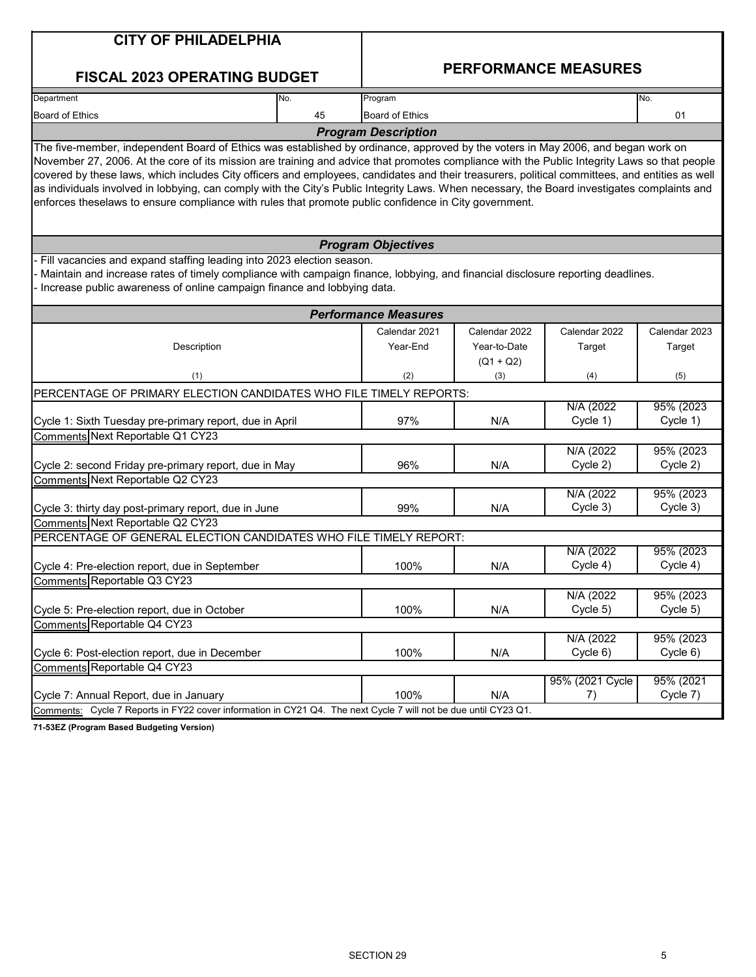| <b>CITY OF PHILADELPHIA</b>                                                                                                                                                                                                                                                                                                                                                                                                                                                                                                                             |     |                             |                    |                             |                       |
|---------------------------------------------------------------------------------------------------------------------------------------------------------------------------------------------------------------------------------------------------------------------------------------------------------------------------------------------------------------------------------------------------------------------------------------------------------------------------------------------------------------------------------------------------------|-----|-----------------------------|--------------------|-----------------------------|-----------------------|
|                                                                                                                                                                                                                                                                                                                                                                                                                                                                                                                                                         |     |                             |                    | <b>PERFORMANCE MEASURES</b> |                       |
| <b>FISCAL 2023 OPERATING BUDGET</b>                                                                                                                                                                                                                                                                                                                                                                                                                                                                                                                     |     |                             |                    |                             |                       |
| Department                                                                                                                                                                                                                                                                                                                                                                                                                                                                                                                                              | No. | Program                     |                    |                             | No.                   |
| <b>Board of Ethics</b>                                                                                                                                                                                                                                                                                                                                                                                                                                                                                                                                  | 45  | <b>Board of Ethics</b>      |                    |                             | 01                    |
| The five-member, independent Board of Ethics was established by ordinance, approved by the voters in May 2006, and began work on                                                                                                                                                                                                                                                                                                                                                                                                                        |     | <b>Program Description</b>  |                    |                             |                       |
| November 27, 2006. At the core of its mission are training and advice that promotes compliance with the Public Integrity Laws so that people<br>covered by these laws, which includes City officers and employees, candidates and their treasurers, political committees, and entities as well<br>as individuals involved in lobbying, can comply with the City's Public Integrity Laws. When necessary, the Board investigates complaints and<br>enforces theselaws to ensure compliance with rules that promote public confidence in City government. |     |                             |                    |                             |                       |
|                                                                                                                                                                                                                                                                                                                                                                                                                                                                                                                                                         |     | <b>Program Objectives</b>   |                    |                             |                       |
| Fill vacancies and expand staffing leading into 2023 election season.<br>Maintain and increase rates of timely compliance with campaign finance, lobbying, and financial disclosure reporting deadlines.<br>Increase public awareness of online campaign finance and lobbying data.                                                                                                                                                                                                                                                                     |     |                             |                    |                             |                       |
|                                                                                                                                                                                                                                                                                                                                                                                                                                                                                                                                                         |     | <b>Performance Measures</b> |                    |                             |                       |
|                                                                                                                                                                                                                                                                                                                                                                                                                                                                                                                                                         |     | Calendar 2021               | Calendar 2022      | Calendar 2022               | Calendar 2023         |
| Description                                                                                                                                                                                                                                                                                                                                                                                                                                                                                                                                             |     | Year-End                    | Year-to-Date       | Target                      | Target                |
| (1)                                                                                                                                                                                                                                                                                                                                                                                                                                                                                                                                                     |     | (2)                         | $(Q1 + Q2)$<br>(3) | (4)                         | (5)                   |
| PERCENTAGE OF PRIMARY ELECTION CANDIDATES WHO FILE TIMELY REPORTS:                                                                                                                                                                                                                                                                                                                                                                                                                                                                                      |     |                             |                    |                             |                       |
|                                                                                                                                                                                                                                                                                                                                                                                                                                                                                                                                                         |     |                             |                    | N/A (2022)                  | 95% (2023)            |
| Cycle 1: Sixth Tuesday pre-primary report, due in April                                                                                                                                                                                                                                                                                                                                                                                                                                                                                                 |     | 97%                         | N/A                | Cycle 1)                    | Cycle 1)              |
| Comments Next Reportable Q1 CY23                                                                                                                                                                                                                                                                                                                                                                                                                                                                                                                        |     |                             |                    |                             |                       |
|                                                                                                                                                                                                                                                                                                                                                                                                                                                                                                                                                         |     |                             |                    | N/A (2022                   | 95% (2023             |
| Cycle 2: second Friday pre-primary report, due in May                                                                                                                                                                                                                                                                                                                                                                                                                                                                                                   |     | 96%                         | N/A                | Cycle 2)                    | Cycle 2)              |
| Comments Next Reportable Q2 CY23                                                                                                                                                                                                                                                                                                                                                                                                                                                                                                                        |     |                             |                    | N/A (2022)                  | 95% (2023)            |
| Cycle 3: thirty day post-primary report, due in June                                                                                                                                                                                                                                                                                                                                                                                                                                                                                                    |     | 99%                         | N/A                | Cycle 3)                    | Cycle 3)              |
| Comments Next Reportable Q2 CY23                                                                                                                                                                                                                                                                                                                                                                                                                                                                                                                        |     |                             |                    |                             |                       |
| PERCENTAGE OF GENERAL ELECTION CANDIDATES WHO FILE TIMELY REPORT:                                                                                                                                                                                                                                                                                                                                                                                                                                                                                       |     |                             |                    |                             |                       |
|                                                                                                                                                                                                                                                                                                                                                                                                                                                                                                                                                         |     |                             |                    | N/A (2022)                  | 95% (2023)            |
| Cycle 4: Pre-election report, due in September                                                                                                                                                                                                                                                                                                                                                                                                                                                                                                          |     | 100%                        | N/A                | Cycle 4)                    | Cycle 4)              |
| Comments Reportable Q3 CY23                                                                                                                                                                                                                                                                                                                                                                                                                                                                                                                             |     |                             |                    |                             |                       |
| Cycle 5: Pre-election report, due in October                                                                                                                                                                                                                                                                                                                                                                                                                                                                                                            |     | 100%                        | N/A                | N/A (2022)<br>Cycle 5)      | 95% (2023<br>Cycle 5) |
| Comments Reportable Q4 CY23                                                                                                                                                                                                                                                                                                                                                                                                                                                                                                                             |     |                             |                    |                             |                       |
|                                                                                                                                                                                                                                                                                                                                                                                                                                                                                                                                                         |     |                             |                    | N/A (2022)                  | 95% (2023)            |
| Cycle 6: Post-election report, due in December                                                                                                                                                                                                                                                                                                                                                                                                                                                                                                          |     | 100%                        | N/A                | Cycle 6)                    | Cycle 6)              |
| Comments Reportable Q4 CY23                                                                                                                                                                                                                                                                                                                                                                                                                                                                                                                             |     |                             |                    |                             |                       |
| Cycle 7: Annual Report, due in January                                                                                                                                                                                                                                                                                                                                                                                                                                                                                                                  |     | 100%                        | N/A                | 95% (2021 Cycle<br>7)       | 95% (2021<br>Cycle 7) |
| Comments: Cycle 7 Reports in FY22 cover information in CY21 Q4. The next Cycle 7 will not be due until CY23 Q1.                                                                                                                                                                                                                                                                                                                                                                                                                                         |     |                             |                    |                             |                       |
| 71-53E7 (Program Rased Rudgeting Version)                                                                                                                                                                                                                                                                                                                                                                                                                                                                                                               |     |                             |                    |                             |                       |

**71-53EZ (Program Based Budgeting Version)**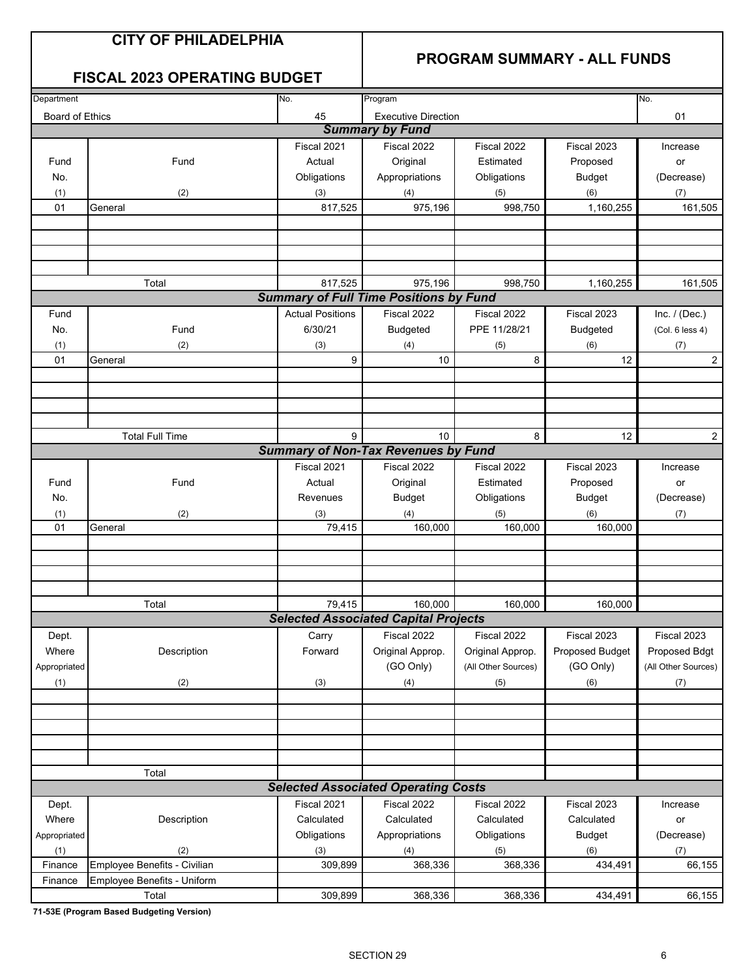#### **CITY OF PHILADELPHIA**

#### **PROGRAM SUMMARY - ALL FUNDS**

#### **FISCAL 2023 OPERATING BUDGET**

| Department             |                              |                         |                                               |                     |                 |                     |
|------------------------|------------------------------|-------------------------|-----------------------------------------------|---------------------|-----------------|---------------------|
|                        |                              | No.                     | Program                                       |                     |                 | No.                 |
| <b>Board of Ethics</b> |                              | 45                      | <b>Executive Direction</b>                    |                     |                 | 01                  |
|                        |                              |                         | <b>Summary by Fund</b>                        |                     |                 |                     |
|                        |                              | Fiscal 2021             | Fiscal 2022                                   | Fiscal 2022         | Fiscal 2023     | Increase            |
| Fund                   | Fund                         | Actual                  | Original                                      | Estimated           | Proposed        | or                  |
| No.                    |                              | Obligations             | Appropriations                                | Obligations         | <b>Budget</b>   | (Decrease)          |
|                        |                              |                         |                                               |                     |                 |                     |
| (1)                    | (2)                          | (3)                     | (4)                                           | (5)                 | (6)             | (7)                 |
| 01                     | General                      | 817,525                 | 975,196                                       | 998,750             | 1,160,255       | 161,505             |
|                        |                              |                         |                                               |                     |                 |                     |
|                        |                              |                         |                                               |                     |                 |                     |
|                        |                              |                         |                                               |                     |                 |                     |
|                        |                              |                         |                                               |                     |                 |                     |
|                        | Total                        | 817,525                 | 975,196                                       | 998,750             | 1,160,255       | 161,505             |
|                        |                              |                         | <b>Summary of Full Time Positions by Fund</b> |                     |                 |                     |
|                        |                              |                         |                                               |                     |                 |                     |
| Fund                   |                              | <b>Actual Positions</b> | Fiscal 2022                                   | Fiscal 2022         | Fiscal 2023     | Inc. $/$ (Dec.)     |
| No.                    | Fund                         | 6/30/21                 | <b>Budgeted</b>                               | PPE 11/28/21        | <b>Budgeted</b> | (Col. 6 less 4)     |
| (1)                    | (2)                          | (3)                     | (4)                                           | (5)                 | (6)             | (7)                 |
| 01                     | General                      | 9                       | 10                                            | 8                   | 12              | 2                   |
|                        |                              |                         |                                               |                     |                 |                     |
|                        |                              |                         |                                               |                     |                 |                     |
|                        |                              |                         |                                               |                     |                 |                     |
|                        |                              |                         |                                               |                     |                 |                     |
|                        |                              |                         |                                               |                     |                 |                     |
|                        | <b>Total Full Time</b>       | 9                       | 10                                            | 8                   | 12              | $\overline{2}$      |
|                        |                              |                         | <b>Summary of Non-Tax Revenues by Fund</b>    |                     |                 |                     |
|                        |                              | Fiscal 2021             | Fiscal 2022                                   | Fiscal 2022         | Fiscal 2023     | Increase            |
| Fund                   | Fund                         | Actual                  | Original                                      | Estimated           | Proposed        | or                  |
| No.                    |                              | Revenues                | <b>Budget</b>                                 | Obligations         | <b>Budget</b>   | (Decrease)          |
|                        |                              |                         |                                               |                     |                 |                     |
| (1)                    | (2)                          | (3)                     | (4)                                           | (5)                 | (6)             | (7)                 |
| 01                     | General                      | 79,415                  | 160,000                                       | 160,000             | 160,000         |                     |
|                        |                              |                         |                                               |                     |                 |                     |
|                        |                              |                         |                                               |                     |                 |                     |
|                        |                              |                         |                                               |                     |                 |                     |
|                        |                              |                         |                                               |                     |                 |                     |
|                        | Total                        | 79,415                  | 160,000                                       | 160,000             | 160,000         |                     |
|                        |                              |                         | <b>Selected Associated Capital Projects</b>   |                     |                 |                     |
|                        |                              |                         |                                               |                     |                 |                     |
| Dept.                  |                              | Carry                   | Fiscal 2022                                   | Fiscal 2022         | Fiscal 2023     | Fiscal 2023         |
| Where                  | Description                  | Forward                 | Original Approp.                              | Original Approp.    | Proposed Budget | Proposed Bdgt       |
| Appropriated           |                              |                         | (GO Only)                                     | (All Other Sources) | (GO Only)       | (All Other Sources) |
| (1)                    | (2)                          | (3)                     | (4)                                           | (5)                 | (6)             | (7)                 |
|                        |                              |                         |                                               |                     |                 |                     |
|                        |                              |                         |                                               |                     |                 |                     |
|                        |                              |                         |                                               |                     |                 |                     |
|                        |                              |                         |                                               |                     |                 |                     |
|                        |                              |                         |                                               |                     |                 |                     |
|                        |                              |                         |                                               |                     |                 |                     |
|                        | Total                        |                         |                                               |                     |                 |                     |
|                        |                              |                         | <b>Selected Associated Operating Costs</b>    |                     |                 |                     |
| Dept.                  |                              | Fiscal 2021             | Fiscal 2022                                   | Fiscal 2022         | Fiscal 2023     | Increase            |
| Where                  | Description                  | Calculated              | Calculated                                    | Calculated          | Calculated      | or                  |
| Appropriated           |                              | Obligations             | Appropriations                                | Obligations         | <b>Budget</b>   | (Decrease)          |
|                        |                              |                         |                                               |                     |                 |                     |
| (1)                    | (2)                          | (3)                     | (4)                                           | (5)                 | (6)             | (7)                 |
| Finance                | Employee Benefits - Civilian | 309,899                 | 368,336                                       | 368,336             | 434,491         | 66,155              |
| Finance                | Employee Benefits - Uniform  |                         |                                               |                     |                 |                     |
|                        | Total                        | 309,899                 | 368,336                                       | 368,336             | 434,491         | 66,155              |

**71-53E (Program Based Budgeting Version)**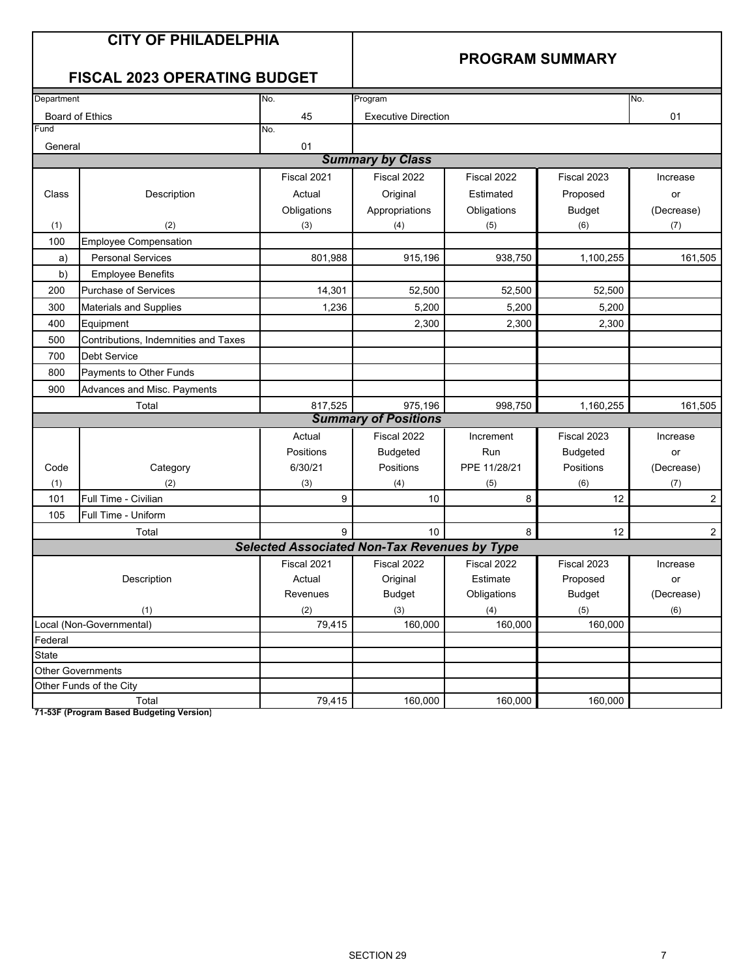## **CITY OF PHILADELPHIA**

#### **PROGRAM SUMMARY**

### **FISCAL 2023 OPERATING BUDGET**

| Department |                                      | No.                                                 | Program                     |              |                 | No.            |
|------------|--------------------------------------|-----------------------------------------------------|-----------------------------|--------------|-----------------|----------------|
|            | <b>Board of Ethics</b>               | 45                                                  | <b>Executive Direction</b>  |              |                 | 01             |
| Fund       |                                      | No.                                                 |                             |              |                 |                |
| General    |                                      | 01                                                  |                             |              |                 |                |
|            |                                      |                                                     | <b>Summary by Class</b>     |              |                 |                |
|            |                                      | Fiscal 2021                                         | Fiscal 2022                 | Fiscal 2022  | Fiscal 2023     | Increase       |
| Class      | Description                          | Actual                                              | Original                    | Estimated    | Proposed        | or             |
|            |                                      | Obligations                                         | Appropriations              | Obligations  | <b>Budget</b>   | (Decrease)     |
| (1)        | (2)                                  | (3)                                                 | (4)                         | (5)          | (6)             | (7)            |
| 100        | <b>Employee Compensation</b>         |                                                     |                             |              |                 |                |
| a)         | <b>Personal Services</b>             | 801,988                                             | 915,196                     | 938,750      | 1,100,255       | 161,505        |
| b)         | <b>Employee Benefits</b>             |                                                     |                             |              |                 |                |
| 200        | Purchase of Services                 | 14,301                                              | 52,500                      | 52,500       | 52,500          |                |
| 300        | <b>Materials and Supplies</b>        | 1,236                                               | 5,200                       | 5,200        | 5,200           |                |
| 400        | Equipment                            |                                                     | 2,300                       | 2,300        | 2,300           |                |
| 500        | Contributions, Indemnities and Taxes |                                                     |                             |              |                 |                |
| 700        | <b>Debt Service</b>                  |                                                     |                             |              |                 |                |
| 800        | Payments to Other Funds              |                                                     |                             |              |                 |                |
| 900        | Advances and Misc. Payments          |                                                     |                             |              |                 |                |
|            | Total                                | 817,525                                             | 975,196                     | 998,750      | 1,160,255       | 161,505        |
|            |                                      |                                                     | <b>Summary of Positions</b> |              |                 |                |
|            |                                      | Actual                                              | Fiscal 2022                 | Increment    | Fiscal 2023     | Increase       |
|            |                                      | Positions                                           | <b>Budgeted</b>             | Run          | <b>Budgeted</b> | or             |
| Code       | Category                             | 6/30/21                                             | Positions                   | PPE 11/28/21 | Positions       | (Decrease)     |
| (1)        | (2)                                  | (3)                                                 | (4)                         | (5)          | (6)             | (7)            |
| 101        | Full Time - Civilian                 | 9                                                   | 10                          | 8            | 12              | $\overline{c}$ |
| 105        | Full Time - Uniform                  |                                                     |                             |              |                 |                |
|            | Total                                | 9                                                   | 10                          | 8            | 12              | $\overline{2}$ |
|            |                                      | <b>Selected Associated Non-Tax Revenues by Type</b> |                             |              |                 |                |
|            |                                      | Fiscal 2021                                         | Fiscal 2022                 | Fiscal 2022  | Fiscal 2023     | Increase       |
|            | Description                          | Actual                                              | Original                    | Estimate     | Proposed        | or             |
|            |                                      | Revenues                                            | <b>Budget</b>               | Obligations  | <b>Budget</b>   | (Decrease)     |
|            | (1)                                  | (2)                                                 | (3)                         | (4)          | (5)             | (6)            |
|            | Local (Non-Governmental)             | 79,415                                              | 160,000                     | 160,000      | 160,000         |                |
| Federal    |                                      |                                                     |                             |              |                 |                |
| State      |                                      |                                                     |                             |              |                 |                |
|            | <b>Other Governments</b>             |                                                     |                             |              |                 |                |
|            | Other Funds of the City              |                                                     |                             |              |                 |                |
|            | Total                                | 79,415                                              | 160,000                     | 160,000      | 160,000         |                |

**71-53F (Program Based Budgeting Version)**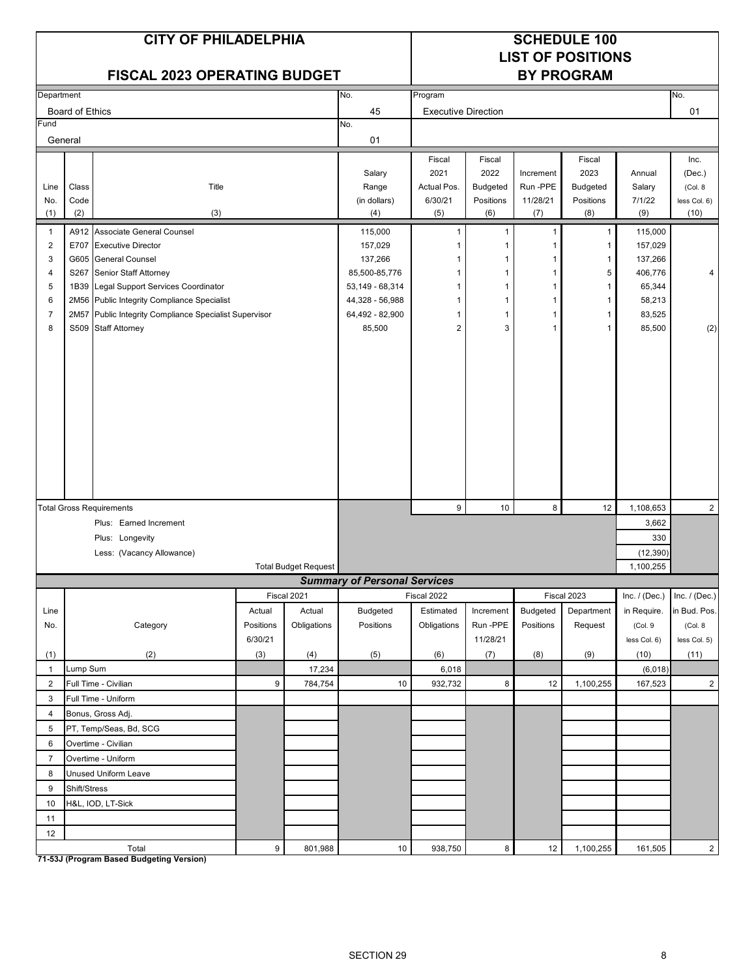|                     |                 | <b>CITY OF PHILADELPHIA</b>                                                   |           |                             |                                     | <b>SCHEDULE 100</b><br><b>LIST OF POSITIONS</b> |                         |                      |                         |                  |                    |
|---------------------|-----------------|-------------------------------------------------------------------------------|-----------|-----------------------------|-------------------------------------|-------------------------------------------------|-------------------------|----------------------|-------------------------|------------------|--------------------|
|                     |                 | <b>FISCAL 2023 OPERATING BUDGET</b>                                           |           |                             |                                     |                                                 |                         |                      | <b>BY PROGRAM</b>       |                  |                    |
| Department          |                 |                                                                               |           |                             | No.                                 | Program                                         |                         |                      |                         |                  | No.                |
|                     | Board of Ethics |                                                                               |           |                             | 45                                  | <b>Executive Direction</b>                      |                         |                      |                         |                  | 01                 |
| Fund                |                 |                                                                               |           |                             | No.                                 |                                                 |                         |                      |                         |                  |                    |
| General             |                 |                                                                               |           |                             | 01                                  |                                                 |                         |                      |                         |                  |                    |
|                     |                 |                                                                               |           |                             |                                     | Fiscal                                          | Fiscal                  |                      | Fiscal                  |                  | Inc.               |
| Line                | Class           | Title                                                                         |           |                             | Salary<br>Range                     | 2021<br>Actual Pos.                             | 2022<br><b>Budgeted</b> | Increment<br>Run-PPE | 2023<br><b>Budgeted</b> | Annual<br>Salary | (Dec.)<br>(Col. 8) |
| No.                 | Code            |                                                                               |           |                             | (in dollars)                        | 6/30/21                                         | Positions               | 11/28/21             | Positions               | 7/1/22           | less Col. 6)       |
| (1)                 | (2)             | (3)                                                                           |           |                             | (4)                                 | (5)                                             | (6)                     | (7)                  | (8)                     | (9)              | (10)               |
| $\mathbf{1}$        |                 | A912 Associate General Counsel                                                |           |                             | 115,000                             | 1                                               | 1                       | 1                    | $\mathbf{1}$            | 115,000          |                    |
| $\overline{2}$      |                 | E707 Executive Director                                                       |           |                             | 157,029                             | 1                                               |                         | -1                   | 1                       | 157,029          |                    |
| 3                   |                 | G605 General Counsel                                                          |           |                             | 137,266                             | 1                                               | 1                       | -1                   | 1                       | 137,266          |                    |
| 4                   |                 | S267 Senior Staff Attorney                                                    |           |                             | 85,500-85,776                       | 1                                               | 1                       | 1                    | 5                       | 406,776          | 4                  |
| 5                   |                 | 1B39 Legal Support Services Coordinator                                       |           |                             | 53,149 - 68,314                     | 1                                               | 1                       | -1                   | -1                      | 65,344           |                    |
| 6                   |                 | 2M56 Public Integrity Compliance Specialist                                   |           |                             | 44,328 - 56,988                     | 1                                               | $\mathbf 1$<br>1        | -1<br>1              | 1                       | 58,213           |                    |
| $\overline{7}$<br>8 |                 | 2M57 Public Integrity Compliance Specialist Supervisor<br>S509 Staff Attorney |           |                             | 64,492 - 82,900<br>85,500           | 1<br>2                                          | 3                       | 1                    | -1<br>$\mathbf{1}$      | 83,525<br>85,500 | (2)                |
|                     |                 |                                                                               |           |                             |                                     |                                                 |                         |                      |                         |                  |                    |
|                     |                 |                                                                               |           |                             |                                     |                                                 |                         |                      |                         |                  |                    |
|                     |                 |                                                                               |           |                             |                                     |                                                 |                         |                      |                         |                  |                    |
|                     |                 |                                                                               |           |                             |                                     |                                                 |                         |                      |                         |                  |                    |
|                     |                 |                                                                               |           |                             |                                     |                                                 |                         |                      |                         |                  |                    |
|                     |                 |                                                                               |           |                             |                                     |                                                 |                         |                      |                         |                  |                    |
|                     |                 |                                                                               |           |                             |                                     |                                                 |                         |                      |                         |                  |                    |
|                     |                 |                                                                               |           |                             |                                     |                                                 |                         |                      |                         |                  |                    |
|                     |                 |                                                                               |           |                             |                                     |                                                 |                         |                      |                         |                  |                    |
|                     |                 |                                                                               |           |                             |                                     |                                                 |                         |                      |                         |                  |                    |
|                     |                 |                                                                               |           |                             |                                     |                                                 |                         |                      |                         |                  |                    |
|                     |                 | <b>Total Gross Requirements</b>                                               |           |                             |                                     | 9                                               | 10                      | 8                    | 12                      | 1,108,653        | $\overline{c}$     |
|                     |                 | Plus: Earned Increment                                                        |           |                             |                                     |                                                 |                         |                      |                         | 3,662            |                    |
|                     |                 | Plus: Longevity                                                               |           |                             |                                     | 330                                             |                         |                      |                         |                  |                    |
|                     |                 | Less: (Vacancy Allowance)                                                     |           |                             |                                     |                                                 |                         |                      |                         | (12, 390)        |                    |
|                     |                 |                                                                               |           | <b>Total Budget Request</b> |                                     |                                                 |                         |                      |                         | 1,100,255        |                    |
|                     |                 |                                                                               |           |                             | <b>Summary of Personal Services</b> |                                                 |                         |                      |                         |                  |                    |
|                     |                 |                                                                               |           | Fiscal 2021                 |                                     | Fiscal 2022                                     |                         |                      | Fiscal 2023             | Inc. $/$ (Dec.)  | Inc. $/$ (Dec.)    |
| Line                |                 |                                                                               | Actual    | Actual                      | Budgeted                            | Estimated                                       | Increment               | <b>Budgeted</b>      | Department              | in Require.      | in Bud. Pos.       |
| No.                 |                 | Category                                                                      | Positions | Obligations                 | Positions                           | Obligations                                     | Run -PPE                | Positions            | Request                 | (Col.9           | (Col. 8)           |
|                     |                 |                                                                               | 6/30/21   |                             |                                     |                                                 | 11/28/21                |                      |                         | less Col. 6)     | less Col. 5)       |
| (1)                 |                 | (2)                                                                           | (3)       | (4)                         | (5)                                 | (6)                                             | (7)                     | (8)                  | (9)                     | (10)             | (11)               |
| $\mathbf{1}$        | Lump Sum        |                                                                               |           | 17,234                      |                                     | 6,018                                           |                         |                      |                         | (6, 018)         |                    |
| $\overline{2}$      |                 | Full Time - Civilian                                                          | 9         | 784,754                     | 10                                  | 932,732                                         | 8                       | 12                   | 1,100,255               | 167,523          | $\overline{2}$     |
| 3<br>$\overline{4}$ |                 | Full Time - Uniform<br>Bonus, Gross Adj.                                      |           |                             |                                     |                                                 |                         |                      |                         |                  |                    |
| $\,$ 5 $\,$         |                 | PT, Temp/Seas, Bd, SCG                                                        |           |                             |                                     |                                                 |                         |                      |                         |                  |                    |
| 6                   |                 | Overtime - Civilian                                                           |           |                             |                                     |                                                 |                         |                      |                         |                  |                    |
| $\overline{7}$      |                 | Overtime - Uniform                                                            |           |                             |                                     |                                                 |                         |                      |                         |                  |                    |
| 8                   |                 | <b>Unused Uniform Leave</b>                                                   |           |                             |                                     |                                                 |                         |                      |                         |                  |                    |
| 9                   | Shift/Stress    |                                                                               |           |                             |                                     |                                                 |                         |                      |                         |                  |                    |
| 10                  |                 | H&L, IOD, LT-Sick                                                             |           |                             |                                     |                                                 |                         |                      |                         |                  |                    |
| 11                  |                 |                                                                               |           |                             |                                     |                                                 |                         |                      |                         |                  |                    |
| 12                  |                 |                                                                               |           |                             |                                     |                                                 |                         |                      |                         |                  |                    |
|                     |                 | Total                                                                         | 9         | 801,988                     | 10                                  | 938,750                                         | $\boldsymbol{8}$        | 12                   | 1,100,255               | 161,505          | $\overline{2}$     |

**71-53J (Program Based Budgeting Version)**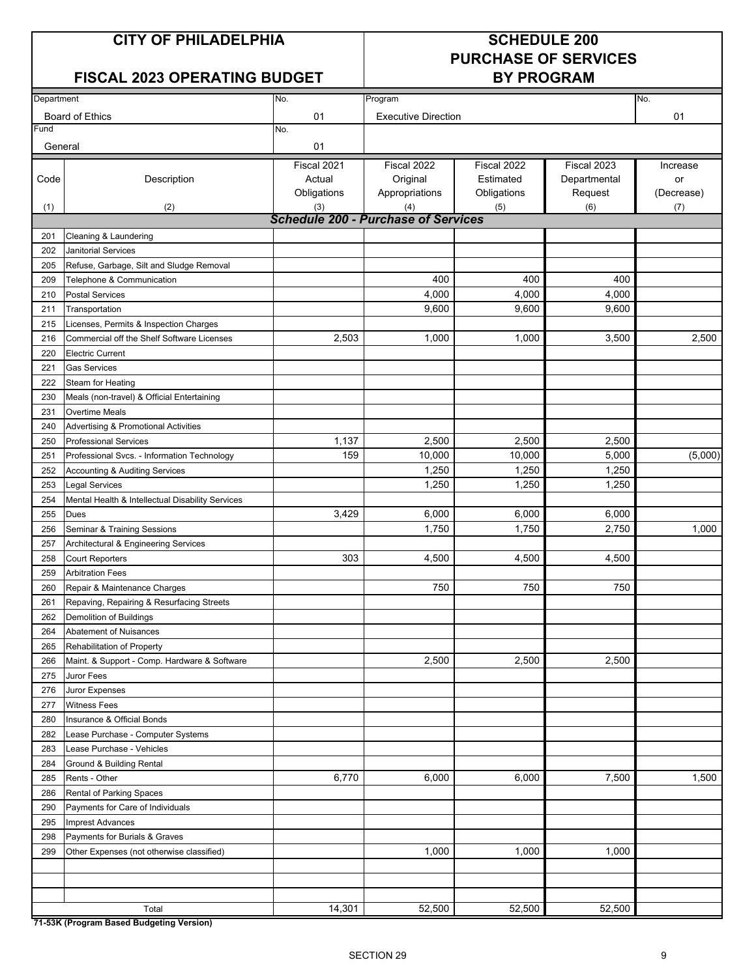## **CITY OF PHILADELPHIA SCHEDULE 200**

#### **FISCAL 2023 OPERATING BUDGET BY PROGRAM**

# **PURCHASE OF SERVICES**

| Department |                                                  | No.                                        | Program                    |             |              | No.        |  |  |
|------------|--------------------------------------------------|--------------------------------------------|----------------------------|-------------|--------------|------------|--|--|
|            | <b>Board of Ethics</b>                           | 01                                         | <b>Executive Direction</b> |             |              | 01         |  |  |
| Fund       |                                                  | No.                                        |                            |             |              |            |  |  |
| General    |                                                  | 01                                         |                            |             |              |            |  |  |
|            |                                                  | Fiscal 2021                                | Fiscal 2022                | Fiscal 2022 | Fiscal 2023  | Increase   |  |  |
| Code       | Description                                      | Actual                                     | Original                   | Estimated   | Departmental | or         |  |  |
|            |                                                  | Obligations                                | Appropriations             | Obligations | Request      | (Decrease) |  |  |
| (1)        | (2)                                              | (3)                                        | (4)                        | (5)         | (6)          | (7)        |  |  |
|            |                                                  | <b>Schedule 200 - Purchase of Services</b> |                            |             |              |            |  |  |
| 201        | Cleaning & Laundering                            |                                            |                            |             |              |            |  |  |
| 202        | <b>Janitorial Services</b>                       |                                            |                            |             |              |            |  |  |
| 205        | Refuse, Garbage, Silt and Sludge Removal         |                                            |                            |             |              |            |  |  |
| 209        | Telephone & Communication                        |                                            | 400                        | 400         | 400          |            |  |  |
| 210        | <b>Postal Services</b>                           |                                            | 4,000                      | 4,000       | 4,000        |            |  |  |
| 211        | Transportation                                   |                                            | 9,600                      | 9,600       | 9,600        |            |  |  |
| 215        | Licenses, Permits & Inspection Charges           |                                            |                            |             |              |            |  |  |
| 216        | Commercial off the Shelf Software Licenses       | 2,503                                      | 1,000                      | 1,000       | 3,500        | 2,500      |  |  |
| 220        | <b>Electric Current</b>                          |                                            |                            |             |              |            |  |  |
| 221        | <b>Gas Services</b>                              |                                            |                            |             |              |            |  |  |
| 222        | Steam for Heating                                |                                            |                            |             |              |            |  |  |
| 230        | Meals (non-travel) & Official Entertaining       |                                            |                            |             |              |            |  |  |
| 231        | Overtime Meals                                   |                                            |                            |             |              |            |  |  |
| 240        | <b>Advertising &amp; Promotional Activities</b>  |                                            |                            |             |              |            |  |  |
| 250        | <b>Professional Services</b>                     | 1,137                                      | 2,500                      | 2,500       | 2,500        |            |  |  |
| 251        | Professional Svcs. - Information Technology      | 159                                        | 10,000                     | 10,000      | 5,000        | (5,000)    |  |  |
| 252        | <b>Accounting &amp; Auditing Services</b>        |                                            | 1,250                      | 1,250       | 1,250        |            |  |  |
| 253        | Legal Services                                   |                                            | 1,250                      | 1,250       | 1,250        |            |  |  |
| 254        | Mental Health & Intellectual Disability Services |                                            |                            |             |              |            |  |  |
| 255        | Dues                                             | 3,429                                      | 6,000                      | 6,000       | 6,000        |            |  |  |
| 256        | Seminar & Training Sessions                      |                                            | 1,750                      | 1,750       | 2,750        | 1,000      |  |  |
| 257        | Architectural & Engineering Services             |                                            |                            |             |              |            |  |  |
| 258        | <b>Court Reporters</b>                           | 303                                        | 4,500                      | 4,500       | 4,500        |            |  |  |
| 259        | <b>Arbitration Fees</b>                          |                                            |                            |             |              |            |  |  |
| 260        | Repair & Maintenance Charges                     |                                            | 750                        | 750         | 750          |            |  |  |
| 261        | Repaving, Repairing & Resurfacing Streets        |                                            |                            |             |              |            |  |  |
| 262        | Demolition of Buildings                          |                                            |                            |             |              |            |  |  |
| 264        | Abatement of Nuisances                           |                                            |                            |             |              |            |  |  |
| 265        | Rehabilitation of Property                       |                                            |                            |             |              |            |  |  |
| 266        | Maint. & Support - Comp. Hardware & Software     |                                            | 2,500                      | 2,500       | 2,500        |            |  |  |
| 275        | Juror Fees                                       |                                            |                            |             |              |            |  |  |
| 276        | Juror Expenses                                   |                                            |                            |             |              |            |  |  |
| 277        | <b>Witness Fees</b>                              |                                            |                            |             |              |            |  |  |
| 280        | Insurance & Official Bonds                       |                                            |                            |             |              |            |  |  |
| 282        | Lease Purchase - Computer Systems                |                                            |                            |             |              |            |  |  |
| 283        | Lease Purchase - Vehicles                        |                                            |                            |             |              |            |  |  |
| 284        | Ground & Building Rental                         |                                            |                            |             |              |            |  |  |
| 285        | Rents - Other                                    | 6,770                                      | 6,000                      | 6,000       | 7,500        | 1,500      |  |  |
| 286        | Rental of Parking Spaces                         |                                            |                            |             |              |            |  |  |
| 290        | Payments for Care of Individuals                 |                                            |                            |             |              |            |  |  |
| 295        | <b>Imprest Advances</b>                          |                                            |                            |             |              |            |  |  |
| 298        | Payments for Burials & Graves                    |                                            |                            |             |              |            |  |  |
| 299        | Other Expenses (not otherwise classified)        |                                            | 1,000                      | 1,000       | 1,000        |            |  |  |
|            |                                                  |                                            |                            |             |              |            |  |  |
|            |                                                  |                                            |                            |             |              |            |  |  |
|            |                                                  |                                            |                            |             |              |            |  |  |
|            | Total                                            | 14,301                                     | 52,500                     | 52,500      | 52,500       |            |  |  |

**71-53K (Program Based Budgeting Version)**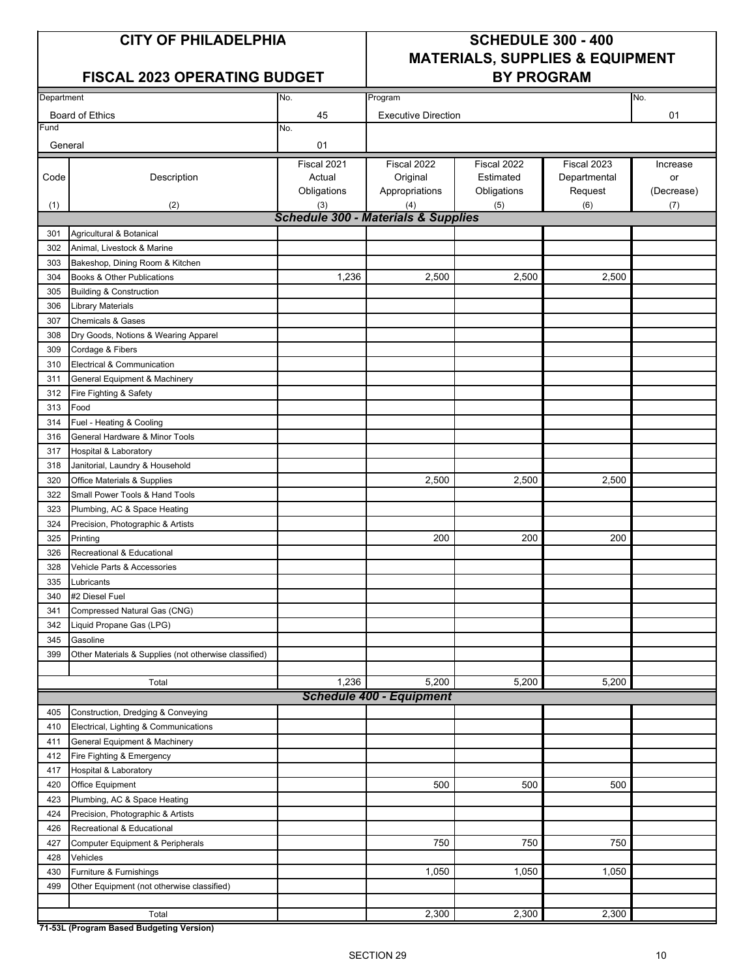#### FISCAL 2023 OPERATING BUDGET | BY PROGRAM

# **CITY OF PHILADELPHIA SCHEDULE 300 - 400 MATERIALS, SUPPLIES & EQUIPMENT**

| Department |                                                       | No.                                            | Program                         |             |              | No.        |
|------------|-------------------------------------------------------|------------------------------------------------|---------------------------------|-------------|--------------|------------|
|            |                                                       |                                                |                                 |             |              |            |
|            | Board of Ethics                                       | 45                                             | <b>Executive Direction</b>      |             |              | 01         |
| Fund       |                                                       | No.                                            |                                 |             |              |            |
| General    |                                                       | 01                                             |                                 |             |              |            |
|            |                                                       | Fiscal 2021                                    | Fiscal 2022                     | Fiscal 2022 | Fiscal 2023  | Increase   |
| Code       | Description                                           | Actual                                         | Original                        | Estimated   | Departmental | or         |
|            |                                                       | Obligations                                    | Appropriations                  | Obligations | Request      | (Decrease) |
| (1)        | (2)                                                   | (3)                                            | (4)                             | (5)         | (6)          | (7)        |
|            |                                                       | <b>Schedule 300 - Materials &amp; Supplies</b> |                                 |             |              |            |
| 301        | Agricultural & Botanical                              |                                                |                                 |             |              |            |
| 302        | Animal, Livestock & Marine                            |                                                |                                 |             |              |            |
| 303        | Bakeshop, Dining Room & Kitchen                       |                                                |                                 |             |              |            |
| 304        | Books & Other Publications                            | 1,236                                          | 2,500                           | 2,500       | 2,500        |            |
| 305        | <b>Building &amp; Construction</b>                    |                                                |                                 |             |              |            |
| 306        | Library Materials                                     |                                                |                                 |             |              |            |
| 307        | <b>Chemicals &amp; Gases</b>                          |                                                |                                 |             |              |            |
| 308        | Dry Goods, Notions & Wearing Apparel                  |                                                |                                 |             |              |            |
| 309        | Cordage & Fibers                                      |                                                |                                 |             |              |            |
| 310        | Electrical & Communication                            |                                                |                                 |             |              |            |
| 311        | General Equipment & Machinery                         |                                                |                                 |             |              |            |
| 312        | Fire Fighting & Safety                                |                                                |                                 |             |              |            |
| 313        | Food                                                  |                                                |                                 |             |              |            |
| 314        | Fuel - Heating & Cooling                              |                                                |                                 |             |              |            |
| 316        | General Hardware & Minor Tools                        |                                                |                                 |             |              |            |
| 317        | <b>Hospital &amp; Laboratory</b>                      |                                                |                                 |             |              |            |
| 318        | Janitorial, Laundry & Household                       |                                                |                                 |             |              |            |
| 320        | Office Materials & Supplies                           |                                                | 2,500                           | 2,500       | 2,500        |            |
| 322        | Small Power Tools & Hand Tools                        |                                                |                                 |             |              |            |
|            |                                                       |                                                |                                 |             |              |            |
| 323        | Plumbing, AC & Space Heating                          |                                                |                                 |             |              |            |
| 324        | Precision, Photographic & Artists                     |                                                |                                 |             |              |            |
| 325        | Printing                                              |                                                | 200                             | 200         | 200          |            |
| 326        | Recreational & Educational                            |                                                |                                 |             |              |            |
| 328        | Vehicle Parts & Accessories                           |                                                |                                 |             |              |            |
| 335        | Lubricants                                            |                                                |                                 |             |              |            |
| 340        | #2 Diesel Fuel                                        |                                                |                                 |             |              |            |
| 341        | Compressed Natural Gas (CNG)                          |                                                |                                 |             |              |            |
| 342        | Liquid Propane Gas (LPG)                              |                                                |                                 |             |              |            |
|            | 345 Gasoline                                          |                                                |                                 |             |              |            |
| 399        | Other Materials & Supplies (not otherwise classified) |                                                |                                 |             |              |            |
|            |                                                       |                                                |                                 |             |              |            |
|            | Total                                                 | 1,236                                          | 5,200                           | 5,200       | 5,200        |            |
|            |                                                       |                                                | <b>Schedule 400 - Equipment</b> |             |              |            |
| 405        | Construction, Dredging & Conveying                    |                                                |                                 |             |              |            |
| 410        | Electrical, Lighting & Communications                 |                                                |                                 |             |              |            |
| 411        | General Equipment & Machinery                         |                                                |                                 |             |              |            |
| 412        | Fire Fighting & Emergency                             |                                                |                                 |             |              |            |
| 417        | Hospital & Laboratory                                 |                                                |                                 |             |              |            |
| 420        | Office Equipment                                      |                                                | 500                             | 500         | 500          |            |
| 423        | Plumbing, AC & Space Heating                          |                                                |                                 |             |              |            |
| 424        | Precision, Photographic & Artists                     |                                                |                                 |             |              |            |
| 426        | Recreational & Educational                            |                                                |                                 |             |              |            |
| 427        | Computer Equipment & Peripherals                      |                                                | 750                             | 750         | 750          |            |
| 428        | Vehicles                                              |                                                |                                 |             |              |            |
| 430        | Furniture & Furnishings                               |                                                | 1,050                           | 1,050       | 1,050        |            |
| 499        | Other Equipment (not otherwise classified)            |                                                |                                 |             |              |            |
|            |                                                       |                                                |                                 |             |              |            |
|            | Total                                                 |                                                | 2,300                           | 2,300       | 2,300        |            |

**71-53L (Program Based Budgeting Version)**